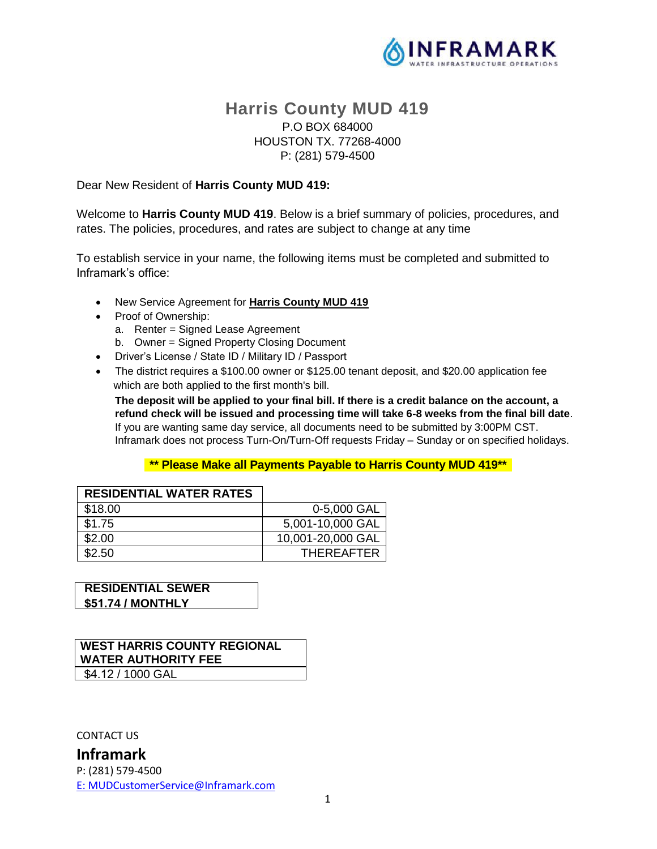

## **Harris County MUD 419** P.O BOX 684000 HOUSTON TX. 77268-4000 P: (281) 579-4500

#### Dear New Resident of **Harris County MUD 419:**

Welcome to **Harris County MUD 419**. Below is a brief summary of policies, procedures, and rates. The policies, procedures, and rates are subject to change at any time

To establish service in your name, the following items must be completed and submitted to Inframark's office:

- New Service Agreement for **Harris County MUD 419**
- Proof of Ownership:
	- a. Renter = Signed Lease Agreement
	- b. Owner = Signed Property Closing Document
- Driver's License / State ID / Military ID / Passport
- The district requires a \$100.00 owner or \$125.00 tenant deposit, and \$20.00 application fee which are both applied to the first month's bill.

**The deposit will be applied to your final bill. If there is a credit balance on the account, a refund check will be issued and processing time will take 6-8 weeks from the final bill date**. If you are wanting same day service, all documents need to be submitted by 3:00PM CST. Inframark does not process Turn-On/Turn-Off requests Friday – Sunday or on specified holidays.

#### **\*\* Please Make all Payments Payable to Harris County MUD 419\*\***

| <b>RESIDENTIAL WATER RATES</b> |                   |
|--------------------------------|-------------------|
| \$18.00                        | 0-5,000 GAL       |
| \$1.75                         | 5,001-10,000 GAL  |
| \$2.00                         | 10,001-20,000 GAL |
| \$2.50                         | <b>THEREAFTER</b> |

**RESIDENTIAL SEWER \$51.74 / MONTHLY** 

## **WEST HARRIS COUNTY REGIONAL WATER AUTHORITY FEE**

\$4.12 / 1000 GAL

CONTACT US

**Inframark** P: (281) 579-4500 [E:](ftp://E:_MUDCustomerService@inframark.com/) MUDCustomerService@Inframark.com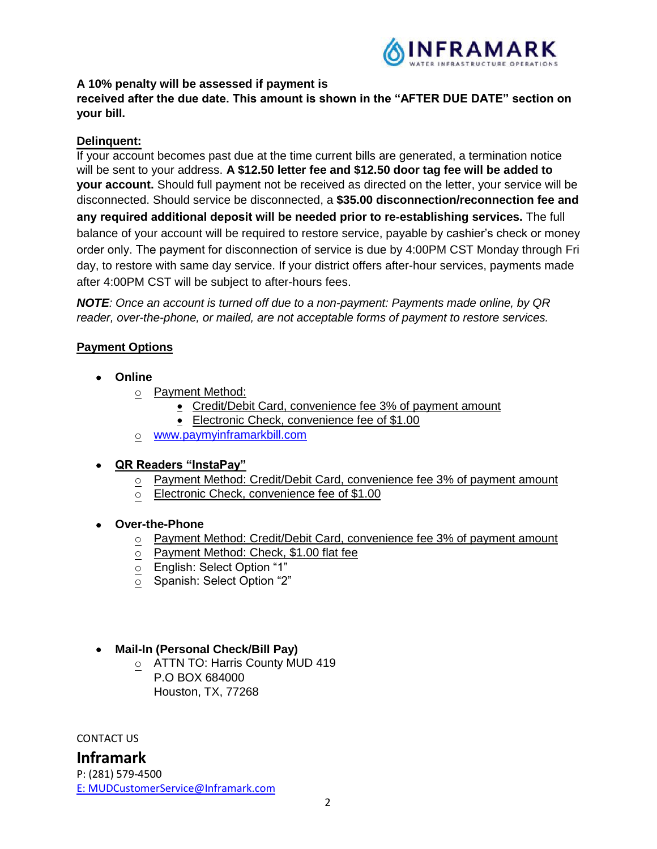

#### **A 10% penalty will be assessed if payment is**

**received after the due date. This amount is shown in the "AFTER DUE DATE" section on your bill.**

#### **Delinquent:**

If your account becomes past due at the time current bills are generated, a termination notice will be sent to your address. **A \$12.50 letter fee and \$12.50 door tag fee will be added to your account.** Should full payment not be received as directed on the letter, your service will be disconnected. Should service be disconnected, a **\$35.00 disconnection/reconnection fee and any required additional deposit will be needed prior to re-establishing services.** The full balance of your account will be required to restore service, payable by cashier's check or money order only. The payment for disconnection of service is due by 4:00PM CST Monday through Fri day, to restore with same day service. If your district offers after-hour services, payments made after 4:00PM CST will be subject to after-hours fees.

*NOTE: Once an account is turned off due to a non-payment: Payments made online, by QR reader, over-the-phone, or mailed, are not acceptable forms of payment to restore services.*

### **Payment Options**

- **Online**
	- o Payment Method:
		- Credit/Debit Card, convenience fee 3% of payment amount
		- Electronic Check, convenience fee of \$1.00
	- o [www.paymyinframarkbill.com](http://www.paymyinframarkbill.com/)

#### • **QR Readers "InstaPay"**

- o Payment Method: Credit/Debit Card, convenience fee 3% of payment amount
- o Electronic Check, convenience fee of \$1.00
- **Over-the-Phone**
	- o Payment Method: Credit/Debit Card, convenience fee 3% of payment amount
	- o Payment Method: Check, \$1.00 flat fee
	- o English: Select Option "1"
	- Spanish: Select Option "2"
- **Mail-In (Personal Check/Bill Pay)**
	- o ATTN TO: Harris County MUD 419 P.O BOX 684000 Houston, TX, 77268

CONTACT US

**Inframark**

P: (281) 579-4500 [E:](ftp://E:_MUDCustomerService@inframark.com/) MUDCustomerService@Inframark.com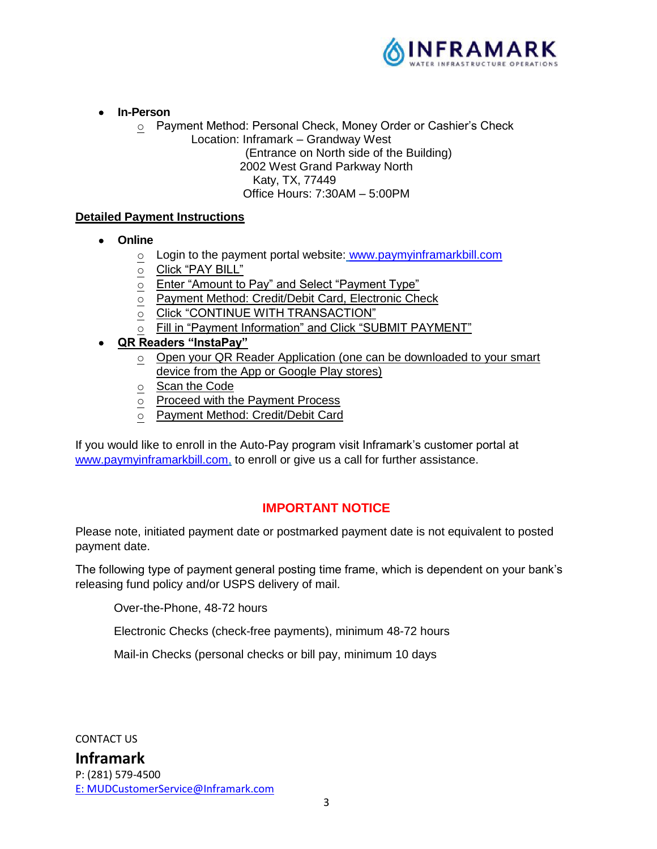

- **In-Person**
	- o Payment Method: Personal Check, Money Order or Cashier's Check
		- Location: Inframark Grandway West

(Entrance on North side of the Building)

2002 West Grand Parkway North

Katy, TX, 77449

Office Hours: 7:30AM – 5:00PM

### **Detailed Payment Instructions**

- **Online**
	- o Login to the payment portal website: [www.paymyinframarkbill.com](http://www.paymyinframarkbill.com/)
	- o Click "PAY BILL"
	- o Enter "Amount to Pay" and Select "Payment Type"
	- o Payment Method: Credit/Debit Card, Electronic Check
	- o Click "CONTINUE WITH TRANSACTION"
	- o Fill in "Payment Information" and Click "SUBMIT PAYMENT"
- **QR Readers "InstaPay"** 
	- o Open your QR Reader Application (one can be downloaded to your smart device from the App or Google Play stores)
	- o Scan the Code
	- o Proceed with the Payment Process
	- o Payment Method: Credit/Debit Card

If you would like to enroll in the Auto-Pay program visit Inframark's customer portal at [www.paymyinframarkbill.com,](http://www.paymyinframarkbill.com/) to enroll or give us a call for further assistance.

# **IMPORTANT NOTICE**

Please note, initiated payment date or postmarked payment date is not equivalent to posted payment date.

The following type of payment general posting time frame, which is dependent on your bank's releasing fund policy and/or USPS delivery of mail.

Over-the-Phone, 48-72 hours

Electronic Checks (check-free payments), minimum 48-72 hours

Mail-in Checks (personal checks or bill pay, minimum 10 days

CONTACT US

**Inframark** P: (281) 579-4500 [E:](ftp://E:_MUDCustomerService@inframark.com/) MUDCustomerService@Inframark.com